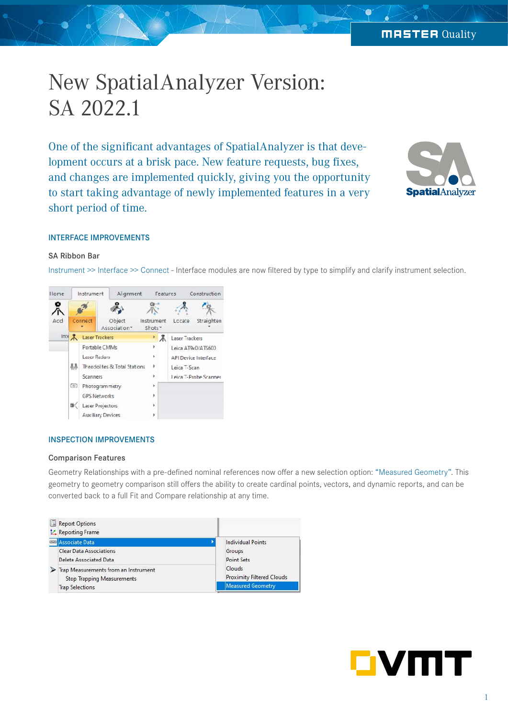# New SpatialAnalyzer Version: SA 2022.1

One of the significant advantages of SpatialAnalyzer is that development occurs at a brisk pace. New feature requests, bug fixes, and changes are implemented quickly, giving you the opportunity to start taking advantage of newly implemented features in a very short period of time.



## INTERFACE IMPROVEMENTS

## SA Ribbon Bar

Instrument >> Interface >> Connect - Interface modules are now filtered by type to simplify and clarify instrument selection.



## INSPECTION IMPROVEMENTS

#### Comparison Features

Geometry Relationships with a pre-defined nominal references now offer a new selection option: "Measured Geometry". This geometry to geometry comparison still offers the ability to create cardinal points, vectors, and dynamic reports, and can be converted back to a full Fit and Compare relationship at any time.



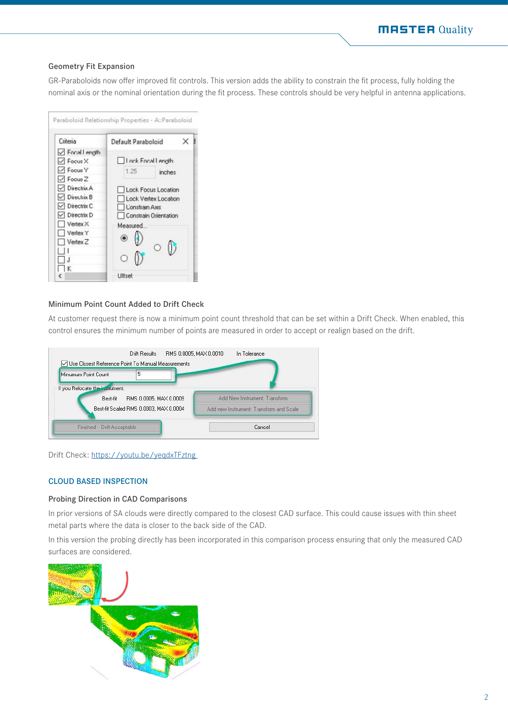## **MASTER Quality**

## Geometry Fit Expansion

GR-Paraboloids now offer improved fit controls. This version adds the ability to constrain the fit process, fully holding the nominal axis or the nominal orientation during the fit process. These controls should be very helpful in antenna applications.

| Criteria                     | Default Paraboloid                          | ×.     |  |  |  |  |
|------------------------------|---------------------------------------------|--------|--|--|--|--|
| √ Focal Length               |                                             |        |  |  |  |  |
| $\sqrt{}$ Focus X            | I I ock Eocal Length                        |        |  |  |  |  |
| $\sqrt{\frac{1}{2}}$ Focus Y | 1.25                                        | inches |  |  |  |  |
| $\sqrt{}$ Focus Z            |                                             |        |  |  |  |  |
| $\neg$ Directrix A           | Lock Focus Location<br>Lock Vertex Location |        |  |  |  |  |
| $\vee$ Directrix B           |                                             |        |  |  |  |  |
| $\vee$ Directrix C           | Lonstrain Axis                              |        |  |  |  |  |
| Directrix D                  | Constrain Orientation                       |        |  |  |  |  |
| Vertex X                     | Measured                                    |        |  |  |  |  |
| Vertex Y                     |                                             |        |  |  |  |  |
| Vertex <sub>Z</sub>          |                                             |        |  |  |  |  |
|                              |                                             |        |  |  |  |  |

#### Minimum Point Count Added to Drift Check

At customer request there is now a minimum point count threshold that can be set within a Drift Check. When enabled, this control ensures the minimum number of points are measured in order to accept or realign based on the drift.



Drift Check: [https://youtu.be/yeqdxTFztng](https://youtu.be/yeqdxTFztng ) 

## CLOUD BASED INSPECTION

## Probing Direction in CAD Comparisons

In prior versions of SA clouds were directly compared to the closest CAD surface. This could cause issues with thin sheet metal parts where the data is closer to the back side of the CAD.

In this version the probing directly has been incorporated in this comparison process ensuring that only the measured CAD surfaces are considered.

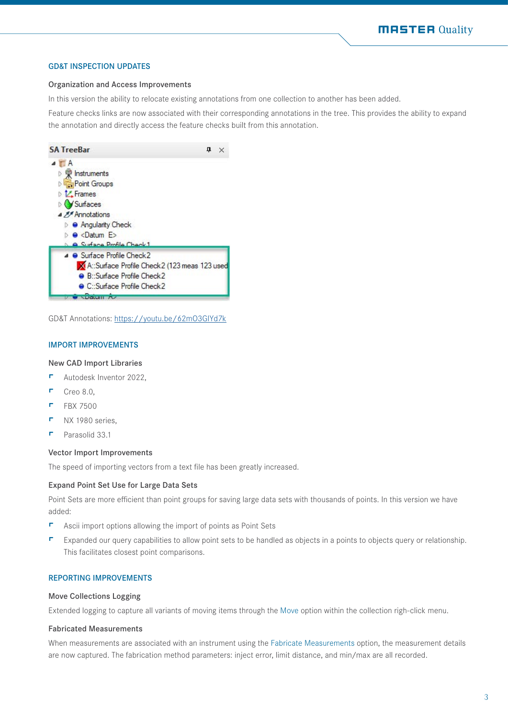#### GD&T INSPECTION UPDATES

#### Organization and Access Improvements

In this version the ability to relocate existing annotations from one collection to another has been added.

Feature checks links are now associated with their corresponding annotations in the tree. This provides the ability to expand the annotation and directly access the feature checks built from this annotation.



GD&T Annotations: [https://youtu.be/62mO3GIYd7k]( https://youtu.be/62mO3GIYd7k)

#### IMPORT IMPROVEMENTS

#### New CAD Import Libraries

- **-** Autodesk Inventor 2022,
- $\Gamma$  Creo 8.0,
- $F$  FBX 7500
- $\Gamma$  NX 1980 series.
- $\blacksquare$  Parasolid 33.1

#### Vector Import Improvements

The speed of importing vectors from a text file has been greatly increased.

#### Expand Point Set Use for Large Data Sets

Point Sets are more efficient than point groups for saving large data sets with thousands of points. In this version we have added:

- $\blacksquare$  Ascii import options allowing the import of points as Point Sets
- F Expanded our query capabilities to allow point sets to be handled as objects in a points to objects query or relationship. This facilitates closest point comparisons.

## REPORTING IMPROVEMENTS

## Move Collections Logging

Extended logging to capture all variants of moving items through the Move option within the collection righ-click menu.

#### Fabricated Measurements

When measurements are associated with an instrument using the Fabricate Measurements option, the measurement details are now captured. The fabrication method parameters: inject error, limit distance, and min/max are all recorded.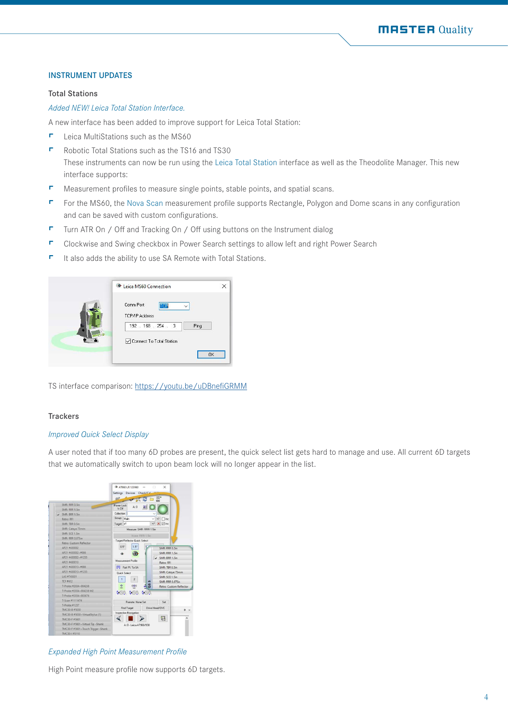#### INSTRUMENT UPDATES

#### Total Stations

#### *Added NEW! Leica Total Station Interface.*

A new interface has been added to improve support for Leica Total Station:

- $\blacksquare$  Leica MultiStations such as the MS60
- F Robotic Total Stations such as the TS16 and TS30 These instruments can now be run using the Leica Total Station interface as well as the Theodolite Manager. This new interface supports:
- $\blacksquare$  Measurement profiles to measure single points, stable points, and spatial scans.
- F For the MS60, the Nova Scan measurement profile supports Rectangle, Polygon and Dome scans in any configuration and can be saved with custom configurations.
- $\blacksquare$  Turn ATR On / Off and Tracking On / Off using buttons on the Instrument dialog
- F Clockwise and Swing checkbox in Power Search settings to allow left and right Power Search
- $\blacksquare$  It also adds the ability to use SA Remote with Total Stations.

| <sup>0</sup> Leica MS60 Connection                               |           |
|------------------------------------------------------------------|-----------|
| Comm Port<br>TCP<br><b>TCP/IP Address</b><br>192 . 168 . 254 . 3 | Ping      |
| Connect To Total Station                                         | <b>OK</b> |

TS interface comparison:<https://youtu.be/uDBnefiGRMM>

## **Trackers**

## *Improved Quick Select Display*

A user noted that if too many 6D probes are present, the quick select list gets hard to manage and use. All current 6D targets that we automatically switch to upon beam lock will no longer appear in the list.

|                                    | 0 AT960 LR 123960 -        |                               |                  |  |                    | 旧            | $\times$              |                                |
|------------------------------------|----------------------------|-------------------------------|------------------|--|--------------------|--------------|-----------------------|--------------------------------|
|                                    | Settings Devices Check/Cal |                               |                  |  |                    |              |                       |                                |
|                                    | 610                        |                               |                  |  |                    | <b>NITHE</b> | AIM <sup>e</sup>      |                                |
| SMR: RRR 0.5in                     | Power Lock                 |                               |                  |  |                    |              |                       |                                |
| SMR: RRR 1.5in                     | le Off                     |                               | A:0              |  |                    |              |                       |                                |
| $\angle$ SMR: BRR 1.5in            | Collection:                |                               |                  |  |                    |              |                       |                                |
| Retro: RFI                         | Group: Main                |                               |                  |  |                    |              | $+/ \Box$ Inc.        |                                |
| SMR: TBR 0.5in                     | Target p1                  |                               |                  |  |                    |              | +/- <b>X</b> ⊠Inc     |                                |
| SMR: Cateye 75mm                   | Measure: SMR: RRR 1.5in    |                               |                  |  |                    |              |                       |                                |
| SMR: SCE 1.5in                     |                            |                               |                  |  |                    |              |                       |                                |
| <b>SMR: RRR 0.875in</b>            |                            |                               |                  |  | Home: RRR 1.5in    |              |                       |                                |
| Retro: Custom Reflector            |                            | Target/Reflector Quick Select |                  |  |                    |              |                       |                                |
| AP21 #430002                       |                            | 0.5"                          | 1.5''            |  |                    |              | SMR: RRR 0.5in        |                                |
| AP21 #430002~#886                  |                            |                               |                  |  |                    |              | SMR: RRR 1.5in        |                                |
| AP21#430002~#1235                  |                            |                               |                  |  |                    |              | $\vee$ SMR: BRR 1.5in |                                |
| AP21 #430013                       |                            | Measurement Profile           |                  |  |                    |              | Retro: RFI            |                                |
| AP21#430013~#886                   |                            | [1] Fast Pt. To SA            |                  |  |                    |              | SMR: TRR 0.5in        |                                |
| AP21#430013~#1235                  |                            | <b>Quick Select</b>           |                  |  |                    |              |                       | SMR: Cateye 75mm               |
| LAS #745001                        |                            |                               |                  |  |                    |              | SMR: SCE 1.5in        |                                |
| <b>TCF #412</b>                    | 1                          |                               | $\overline{2}$   |  | $\sim$             |              |                       | SMR: RRR 0.875in               |
| T-Probe #2034~004238               | $\oplus$                   |                               | $(\oplus)$       |  | $rac{1}{2}$        |              |                       | <b>Retro: Custom Reflector</b> |
| T-Probe #2034~004238 M2            |                            |                               |                  |  | <b>SSA 550 550</b> |              |                       |                                |
| T-Probe #2034~003676               |                            |                               |                  |  |                    |              |                       |                                |
| T-Scan #1111474                    |                            |                               | Remote: None Set |  |                    |              | Set                   |                                |
| T-Probe #1237                      |                            |                               |                  |  |                    |              | Drive Head/OVC        |                                |
| TMC30-B #5030                      |                            | Find Target                   |                  |  |                    |              |                       | $x \times$                     |
| TMC30-B #5030~VirtualStylus (1)    |                            | Inspection Navigation         |                  |  |                    |              |                       |                                |
| TMC30-F #5601                      |                            |                               |                  |  |                    |              | 긂                     |                                |
| TMC30-F #5601~Virtual Tip -Shank   | 4:0 - Leica 47,960/930     |                               |                  |  |                    |              |                       |                                |
| TMC30-F #5601~Touch Trigger -Shank |                            |                               |                  |  |                    |              |                       |                                |
| TMC30-1#5110                       |                            |                               |                  |  |                    |              |                       |                                |

*Expanded High Point Measurement Profile*

High Point measure profile now supports 6D targets.